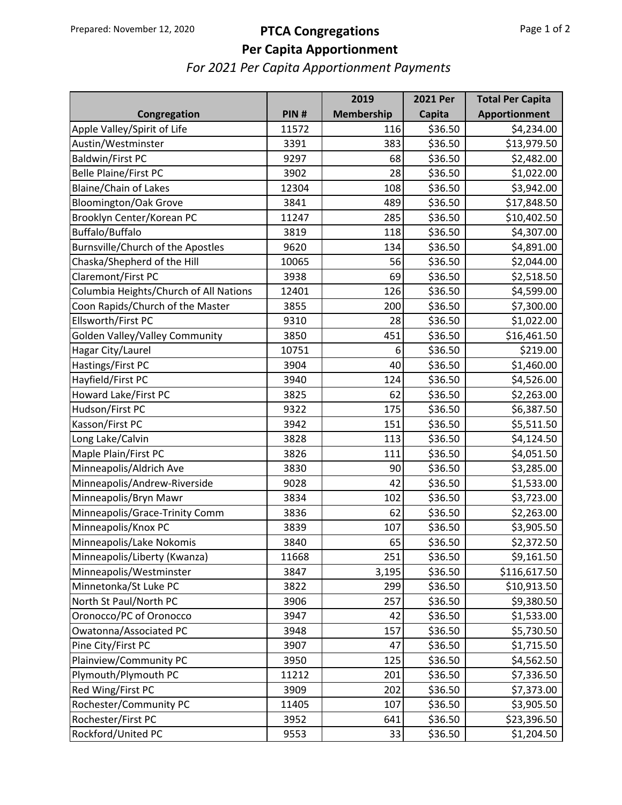## Prepared: November 12, 2020 **PTCA Congregations**

## **Per Capita Apportionment**

*For 2021 Per Capita Apportionment Payments*

|                                        |       | 2019       | <b>2021 Per</b> | <b>Total Per Capita</b> |
|----------------------------------------|-------|------------|-----------------|-------------------------|
| Congregation                           | PIN#  | Membership | Capita          | Apportionment           |
| Apple Valley/Spirit of Life            | 11572 | 116        | \$36.50         | \$4,234.00              |
| Austin/Westminster                     | 3391  | 383        | \$36.50         | \$13,979.50             |
| <b>Baldwin/First PC</b>                | 9297  | 68         | \$36.50         | \$2,482.00              |
| <b>Belle Plaine/First PC</b>           | 3902  | 28         | \$36.50         | \$1,022.00              |
| <b>Blaine/Chain of Lakes</b>           | 12304 | 108        | \$36.50         | \$3,942.00              |
| <b>Bloomington/Oak Grove</b>           | 3841  | 489        | \$36.50         | \$17,848.50             |
| Brooklyn Center/Korean PC              | 11247 | 285        | \$36.50         | \$10,402.50             |
| Buffalo/Buffalo                        | 3819  | 118        | \$36.50         | \$4,307.00              |
| Burnsville/Church of the Apostles      | 9620  | 134        | \$36.50         | \$4,891.00              |
| Chaska/Shepherd of the Hill            | 10065 | 56         | \$36.50         | \$2,044.00              |
| Claremont/First PC                     | 3938  | 69         | \$36.50         | \$2,518.50              |
| Columbia Heights/Church of All Nations | 12401 | 126        | \$36.50         | \$4,599.00              |
| Coon Rapids/Church of the Master       | 3855  | 200        | \$36.50         | \$7,300.00              |
| Ellsworth/First PC                     | 9310  | 28         | \$36.50         | \$1,022.00              |
| Golden Valley/Valley Community         | 3850  | 451        | \$36.50         | \$16,461.50             |
| Hagar City/Laurel                      | 10751 | 6          | \$36.50         | \$219.00                |
| Hastings/First PC                      | 3904  | 40         | \$36.50         | \$1,460.00              |
| Hayfield/First PC                      | 3940  | 124        | \$36.50         | \$4,526.00              |
| Howard Lake/First PC                   | 3825  | 62         | \$36.50         | \$2,263.00              |
| Hudson/First PC                        | 9322  | 175        | \$36.50         | \$6,387.50              |
| Kasson/First PC                        | 3942  | 151        | \$36.50         | \$5,511.50              |
| Long Lake/Calvin                       | 3828  | 113        | \$36.50         | \$4,124.50              |
| Maple Plain/First PC                   | 3826  | 111        | \$36.50         | \$4,051.50              |
| Minneapolis/Aldrich Ave                | 3830  | 90         | \$36.50         | \$3,285.00              |
| Minneapolis/Andrew-Riverside           | 9028  | 42         | \$36.50         | \$1,533.00              |
| Minneapolis/Bryn Mawr                  | 3834  | 102        | \$36.50         | \$3,723.00              |
| Minneapolis/Grace-Trinity Comm         | 3836  | 62         | \$36.50         | \$2,263.00              |
| Minneapolis/Knox PC                    | 3839  | 107        | \$36.50         | \$3,905.50              |
| Minneapolis/Lake Nokomis               | 3840  | 65         | \$36.50         | \$2,372.50              |
| Minneapolis/Liberty (Kwanza)           | 11668 | 251        | \$36.50         | \$9,161.50              |
| Minneapolis/Westminster                | 3847  | 3,195      | \$36.50         | \$116,617.50            |
| Minnetonka/St Luke PC                  | 3822  | 299        | \$36.50         | \$10,913.50             |
| North St Paul/North PC                 | 3906  | 257        | \$36.50         | \$9,380.50              |
| Oronocco/PC of Oronocco                | 3947  | 42         | \$36.50         | \$1,533.00              |
| Owatonna/Associated PC                 | 3948  | 157        | \$36.50         | \$5,730.50              |
| Pine City/First PC                     | 3907  | 47         | \$36.50         | \$1,715.50              |
| Plainview/Community PC                 | 3950  | 125        | \$36.50         | \$4,562.50              |
| Plymouth/Plymouth PC                   | 11212 | 201        | \$36.50         | \$7,336.50              |
| Red Wing/First PC                      | 3909  | 202        | \$36.50         | \$7,373.00              |
| Rochester/Community PC                 | 11405 | 107        | \$36.50         | \$3,905.50              |
| Rochester/First PC                     | 3952  | 641        | \$36.50         | \$23,396.50             |
| Rockford/United PC                     | 9553  | 33         | \$36.50         | \$1,204.50              |